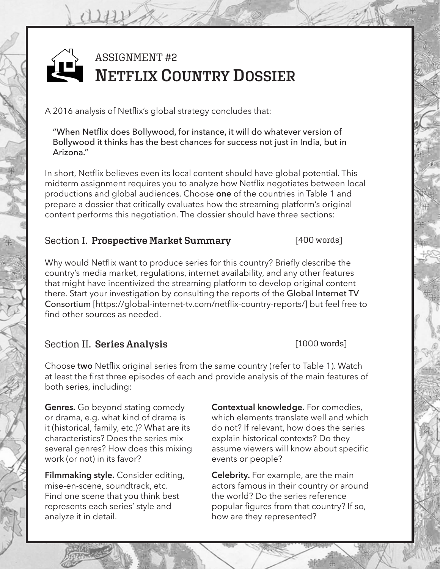

A 2016 analysis of Netfix's global strategy concludes that:

"When Netfix does Bollywood, for instance, it will do whatever version of Bollywood it thinks has the best chances for success not just in India, but in Arizona."

In short, Netfix believes even its local content should have global potential. This midterm assignment requires you to analyze how Netfix negotiates between local productions and global audiences. Choose **one** of the countries in Table 1 and prepare a dossier that critically evaluates how the streaming platform's original content performs this negotiation. The dossier should have three sections:

#### Section I. **Prospective Market Summary**

Why would Netfix want to produce series for this country? Briefy describe the country's media market, regulations, internet availability, and any other features that might have incentivized the streaming platform to develop original content there. Start your investigation by consulting the reports of the Global Internet TV Consortium [https://global-internet-tv.com/netfix-country-reports/] but feel free to find other sources as needed.

## Section II. **Series Analysis**

Choose **two** Netfix original series from the same country (refer to Table 1). Watch at least the frst three episodes of each and provide analysis of the main features of both series, including:

**Genres.** Go beyond stating comedy or drama, e.g. what kind of drama is it (historical, family, etc.)? What are its characteristics? Does the series mix several genres? How does this mixing work (or not) in its favor?

**Filmmaking style.** Consider editing, mise-en-scene, soundtrack, etc. Find one scene that you think best represents each series' style and analyze it in detail.

**Contextual knowledge.** For comedies, which elements translate well and which do not? If relevant, how does the series explain historical contexts? Do they assume viewers will know about specific events or people?

**Celebrity.** For example, are the main actors famous in their country or around the world? Do the series reference popular figures from that country? If so, how are they represented?

[1000 words]

# [400 words]